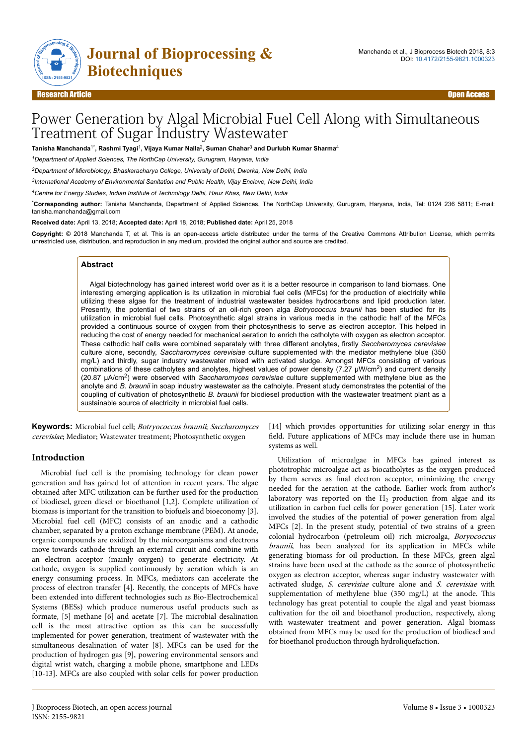

Research Article Open Access

# Power Generation by Algal Microbial Fuel Cell Along with Simultaneous Treatment of Sugar Industry Wastewater

**Tanisha Manchanda**1\***, Rashmi Tyagi**<sup>1</sup> **, Vijaya Kumar Nalla**<sup>2</sup> **, Suman Chahar**<sup>3</sup>  **and Durlubh Kumar Sharma**<sup>4</sup>

*<sup>1</sup>Department of Applied Sciences, The NorthCap University, Gurugram, Haryana, India*

*<sup>2</sup>Department of Microbiology, Bhaskaracharya College, University of Delhi, Dwarka, New Delhi, India*

*3 International Academy of Environmental Sanitation and Public Health, Vijay Enclave, New Delhi, India*

*<sup>4</sup>Centre for Energy Studies, Indian Institute of Technology Delhi, Hauz Khas, New Delhi, India*

\***Corresponding author:** Tanisha Manchanda, Department of Applied Sciences, The NorthCap University, Gurugram, Haryana, India, Tel: 0124 236 5811; E-mail: tanisha.manchanda@gmail.com

**Received date:** April 13, 2018; **Accepted date:** April 18, 2018; **Published date:** April 25, 2018

**Copyright:** © 2018 Manchanda T, et al. This is an open-access article distributed under the terms of the Creative Commons Attribution License, which permits unrestricted use, distribution, and reproduction in any medium, provided the original author and source are credited.

#### **Abstract**

Algal biotechnology has gained interest world over as it is a better resource in comparison to land biomass. One interesting emerging application is its utilization in microbial fuel cells (MFCs) for the production of electricity while utilizing these algae for the treatment of industrial wastewater besides hydrocarbons and lipid production later. Presently, the potential of two strains of an oil-rich green alga *Botryococcus braunii* has been studied for its utilization in microbial fuel cells. Photosynthetic algal strains in various media in the cathodic half of the MFCs provided a continuous source of oxygen from their photosynthesis to serve as electron acceptor. This helped in reducing the cost of energy needed for mechanical aeration to enrich the catholyte with oxygen as electron acceptor. These cathodic half cells were combined separately with three different anolytes, firstly *Saccharomyces cerevisiae* culture alone, secondly, *Saccharomyces cerevisiae* culture supplemented with the mediator methylene blue (350 mg/L) and thirdly, sugar industry wastewater mixed with activated sludge. Amongst MFCs consisting of various combinations of these catholytes and anolytes, highest values of power density (7.27 µW/cm<sup>2</sup>) and current density (20.87 µA/cm<sup>2</sup> ) were observed with *Saccharomyces cerevisiae* culture supplemented with methylene blue as the anolyte and *B. braunii* in soap industry wastewater as the catholyte. Present study demonstrates the potential of the coupling of cultivation of photosynthetic *B. braunii* for biodiesel production with the wastewater treatment plant as a sustainable source of electricity in microbial fuel cells.

Keywords: Microbial fuel cell; Botryococcus braunii; Saccharomyces cerevisiae; Mediator; Wastewater treatment; Photosynthetic oxygen

## **Introduction**

Microbial fuel cell is the promising technology for clean power generation and has gained lot of attention in recent years. Нe algae obtained after MFC utilization can be further used for the production of biodiesel, green diesel or bioethanol [1,2]. Complete utilization of biomass is important for the transition to biofuels and bioeconomy [3]. Microbial fuel cell (MFC) consists of an anodic and a cathodic chamber, separated by a proton exchange membrane (PEM). At anode, organic compounds are oxidized by the microorganisms and electrons move towards cathode through an external circuit and combine with an electron acceptor (mainly oxygen) to generate electricity. At cathode, oxygen is supplied continuously by aeration which is an energy consuming process. In MFCs, mediators can accelerate the process of electron transfer [4]. Recently, the concepts of MFCs have been extended into different technologies such as Bio-Electrochemical Systems (BESs) which produce numerous useful products such as formate, [5] methane [6] and acetate [7]. Нe microbial desalination cell is the most attractive option as this can be successfully implemented for power generation, treatment of wastewater with the simultaneous desalination of water [8]. MFCs can be used for the production of hydrogen gas [9], powering environmental sensors and digital wrist watch, charging a mobile phone, smartphone and LEDs [10-13]. MFCs are also coupled with solar cells for power production

[14] which provides opportunities for utilizing solar energy in this field. Future applications of MFCs may include there use in human systems as well.

Utilization of microalgae in MFCs has gained interest as phototrophic microalgae act as biocatholytes as the oxygen produced by them serves as final electron acceptor, minimizing the energy needed for the aeration at the cathode. Earlier work from author's laboratory was reported on the  $\rm H_2$  production from algae and its utilization in carbon fuel cells for power generation [15]. Later work involved the studies of the potential of power generation from algal MFCs [2]. In the present study, potential of two strains of a green colonial hydrocarbon (petroleum oil) rich microalga, Boryococcus braunii, has been analyzed for its application in MFCs while generating biomass for oil production. In these MFCs, green algal strains have been used at the cathode as the source of photosynthetic oxygen as electron acceptor, whereas sugar industry wastewater with activated sludge, S. cerevisiae culture alone and S. cerevisiae with supplementation of methylene blue  $(350 \text{ mg/L})$  at the anode. This technology has great potential to couple the algal and yeast biomass cultivation for the oil and bioethanol production, respectively, along with wastewater treatment and power generation. Algal biomass obtained from MFCs may be used for the production of biodiesel and for bioethanol production through hydroliquefaction.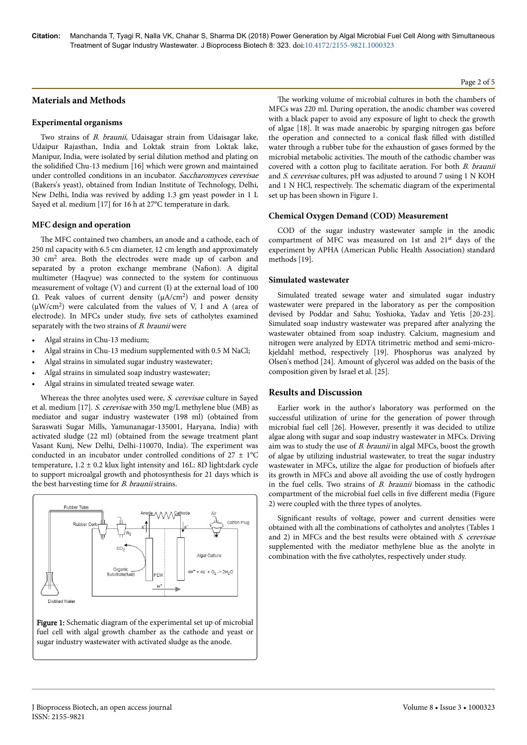## **Materials and Methods**

#### **Experimental organisms**

Two strains of B. braunii, Udaisagar strain from Udaisagar lake, Udaipur Rajasthan, India and Loktak strain from Loktak lake, Manipur, India, were isolated by serial dilution method and plating on the solidified Chu-13 medium [16] which were grown and maintained under controlled conditions in an incubator. Saccharomyces cerevisae (Bakers's yeast), obtained from Indian Institute of Technology, Delhi, New Delhi, India was revived by adding 1.3 gm yeast powder in 1 L Sayed et al. medium [17] for 16 h at 27°C temperature in dark.

#### **MFC design and operation**

The MFC contained two chambers, an anode and a cathode, each of 250 ml capacity with 6.5 cm diameter, 12 cm length and approximately 30 cm<sup>2</sup> area. Both the electrodes were made up of carbon and separated by a proton exchange membrane (Nafion). A digital multimeter (Haqyue) was connected to the system for continuous measurement of voltage (V) and current (I) at the external load of 100 Ω. Peak values of current density ( $\mu$ A/cm<sup>2</sup>) and power density (µW/cm<sup>2</sup> ) were calculated from the values of V, I and A (area of electrode). In MFCs under study, five sets of catholytes examined separately with the two strains of *B. braunii* were

- Algal strains in Chu-13 medium;
- Algal strains in Chu-13 medium supplemented with 0.5 M NaCl;
- Algal strains in simulated sugar industry wastewater;
- Algal strains in simulated soap industry wastewater;
- Algal strains in simulated treated sewage water.

Whereas the three anolytes used were, S. cerevisae culture in Sayed et al. medium [17]. S. cerevisae with 350 mg/L methylene blue (MB) as mediator and sugar industry wastewater (198 ml) (obtained from Saraswati Sugar Mills, Yamunanagar-135001, Haryana, India) with activated sludge (22 ml) (obtained from the sewage treatment plant Vasant Kunj, New Delhi, Delhi-110070, India). Нe experiment was conducted in an incubator under controlled conditions of  $27 \pm 1$ °C temperature,  $1.2 \pm 0.2$  klux light intensity and 16L: 8D light:dark cycle to support microalgal growth and photosynthesis for 21 days which is the best harvesting time for B. braunii strains.



fuel cell with algal growth chamber as the cathode and yeast or sugar industry wastewater with activated sludge as the anode.

The working volume of microbial cultures in both the chambers of MFCs was 220 ml. During operation, the anodic chamber was covered with a black paper to avoid any exposure of light to check the growth of algae [18]. It was made anaerobic by sparging nitrogen gas before the operation and connected to a conical flask filled with distilled water through a rubber tube for the exhaustion of gases formed by the microbial metabolic activities. Нe mouth of the cathodic chamber was covered with a cotton plug to facilitate aeration. For both B. braunii and *S. cerevisae* cultures, pH was adjusted to around 7 using 1 N KOH and 1 N HCl, respectively. Нe schematic diagram of the experimental set up has been shown in Figure 1.

#### **Chemical Oxygen Demand (COD) Measurement**

COD of the sugar industry wastewater sample in the anodic compartment of MFC was measured on 1st and 21<sup>st</sup> days of the experiment by APHA (American Public Health Association) standard methods [19].

#### **Simulated wastewater**

Simulated treated sewage water and simulated sugar industry wastewater were prepared in the laboratory as per the composition devised by Poddar and Sahu; Yoshioka, Yadav and Yetis [20-23]. Simulated soap industry wastewater was prepared after analyzing the wastewater obtained from soap industry. Calcium, magnesium and nitrogen were analyzed by EDTA titrimetric method and semi-microkjeldahl method, respectively [19]. Phosphorus was analyzed by Olsen's method [24]. Amount of glycerol was added on the basis of the composition given by Israel et al. [25].

## **Results and Discussion**

Earlier work in the author's laboratory was performed on the successful utilization of urine for the generation of power through microbial fuel cell [26]. However, presently it was decided to utilize algae along with sugar and soap industry wastewater in MFCs. Driving aim was to study the use of B. braunii in algal MFCs, boost the growth of algae by utilizing industrial wastewater, to treat the sugar industry wastewater in MFCs, utilize the algae for production of biofuels after its growth in MFCs and above all avoiding the use of costly hydrogen in the fuel cells. Two strains of B. braunii biomass in the cathodic compartment of the microbial fuel cells in five different media (Figure 2) were coupled with the three types of anolytes.

Significant results of voltage, power and current densities were obtained with all the combinations of catholytes and anolytes (Tables 1 and 2) in MFCs and the best results were obtained with S. cerevisae supplemented with the mediator methylene blue as the anolyte in combination with the five catholytes, respectively under study.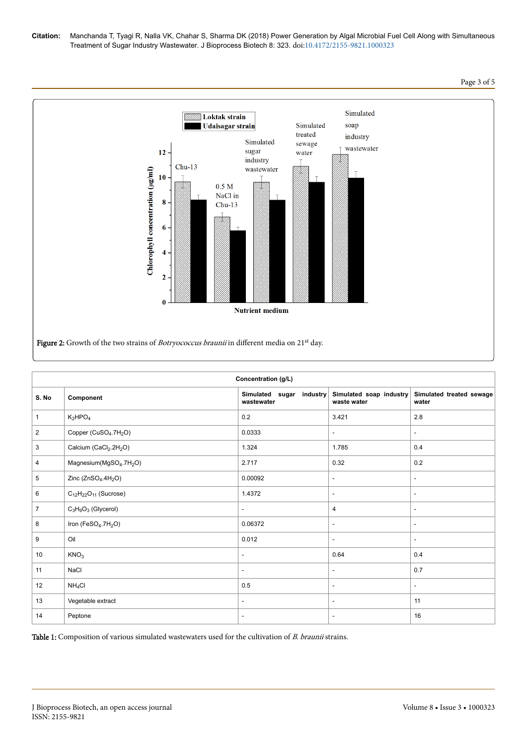



| Concentration (g/L) |                                                 |                                        |                                        |                                   |  |  |  |  |  |
|---------------------|-------------------------------------------------|----------------------------------------|----------------------------------------|-----------------------------------|--|--|--|--|--|
| S. No               | Component                                       | Simulated sugar industry<br>wastewater | Simulated soap industry<br>waste water | Simulated treated sewage<br>water |  |  |  |  |  |
| $\mathbf{1}$        | $K_2HPO_4$                                      | 0.2                                    | 3.421                                  | 2.8                               |  |  |  |  |  |
| $\overline{2}$      | Copper (CuSO <sub>4</sub> .7H <sub>2</sub> O)   | 0.0333                                 | $\overline{\phantom{a}}$               | $\blacksquare$                    |  |  |  |  |  |
| 3                   | Calcium (CaCl <sub>2</sub> .2H <sub>2</sub> O)  | 1.324                                  | 1.785                                  | 0.4                               |  |  |  |  |  |
| 4                   | Magnesium(MgSO <sub>4</sub> .7H <sub>2</sub> O) | 2.717                                  | 0.32                                   | 0.2                               |  |  |  |  |  |
| 5                   | Zinc $(ZnSO4.4H2O)$                             | 0.00092                                | $\overline{\phantom{a}}$               | $\blacksquare$                    |  |  |  |  |  |
| 6                   | $C_{12}H_{22}O_{11}$ (Sucrose)                  | 1.4372                                 | $\overline{\phantom{a}}$               | $\blacksquare$                    |  |  |  |  |  |
| $\overline{7}$      | $C_3H_9O_3$ (Glycerol)                          | $\blacksquare$                         | $\overline{4}$                         | $\blacksquare$                    |  |  |  |  |  |
| 8                   | Iron (FeSO <sub>4</sub> .7H <sub>2</sub> O)     | 0.06372                                | $\overline{\phantom{a}}$               | $\blacksquare$                    |  |  |  |  |  |
| 9                   | Oil                                             | 0.012                                  | $\blacksquare$                         | $\blacksquare$                    |  |  |  |  |  |
| 10                  | KNO <sub>3</sub>                                | $\overline{\phantom{a}}$               | 0.64                                   | 0.4                               |  |  |  |  |  |
| 11                  | NaCl                                            | $\blacksquare$                         | $\blacksquare$                         | 0.7                               |  |  |  |  |  |
| 12                  | NH <sub>4</sub> Cl                              | 0.5                                    | $\overline{\phantom{a}}$               | $\overline{\phantom{a}}$          |  |  |  |  |  |
| 13                  | Vegetable extract                               | $\overline{\phantom{a}}$               | $\overline{\phantom{a}}$               | 11                                |  |  |  |  |  |
| 14                  | Peptone                                         | $\overline{\phantom{a}}$               | $\blacksquare$                         | 16                                |  |  |  |  |  |

Table 1: Composition of various simulated wastewaters used for the cultivation of *B. braunii* strains.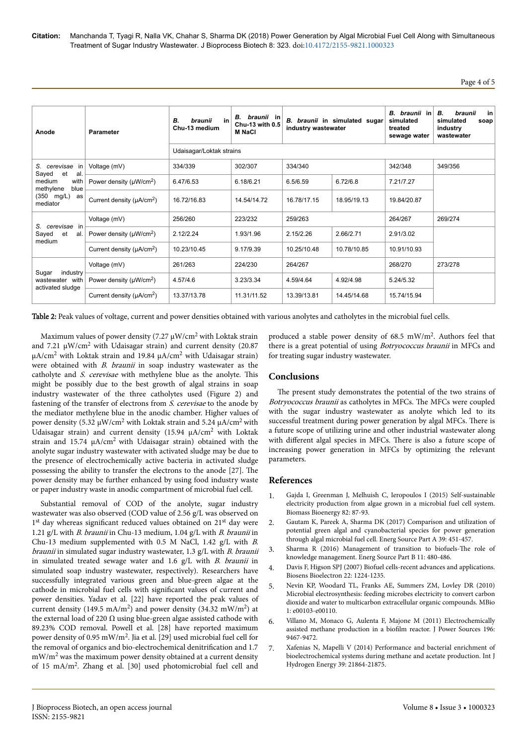Page 4 of 5

| Anode                                                     | <b>Parameter</b>                            | braunii<br>in<br>В.<br>Chu-13 medium | <i>braunii</i> in<br>В.<br>Chu-13 with 0.5<br><b>M NaCl</b> | В.<br>braunii in simulated sugar<br>industry wastewater |             | B. braunii in<br>simulated<br>treated<br>sewage water | in<br>braunii<br>В.<br>simulated<br>soap<br>industry<br>wastewater |
|-----------------------------------------------------------|---------------------------------------------|--------------------------------------|-------------------------------------------------------------|---------------------------------------------------------|-------------|-------------------------------------------------------|--------------------------------------------------------------------|
|                                                           |                                             | Udaisagar/Loktak strains             |                                                             |                                                         |             |                                                       |                                                                    |
| S. cerevisae<br>in                                        | Voltage (mV)                                | 334/339                              | 302/307                                                     | 334/340                                                 |             | 342/348                                               | 349/356                                                            |
| et<br>Sayed<br>al.<br>with<br>medium<br>methylene<br>blue | Power density ( $\mu$ W/cm <sup>2</sup> )   | 6.47/6.53                            | 6.18/6.21                                                   | 6.5/6.59                                                | 6.72/6.8    | 7.21/7.27                                             |                                                                    |
| $(350 \, mg/L)$<br>as<br>mediator                         | Current density ( $\mu$ A/cm <sup>2</sup> ) | 16.72/16.83                          | 14.54/14.72                                                 | 16.78/17.15                                             | 18.95/19.13 | 19.84/20.87                                           |                                                                    |
|                                                           | Voltage (mV)                                | 256/260                              | 223/232                                                     | 259/263                                                 |             | 264/267                                               | 269/274                                                            |
| S. cerevisae in<br>Sayed<br>et<br>al.<br>medium           | Power density ( $\mu$ W/cm <sup>2</sup> )   | 2.12/2.24                            | 1.93/1.96                                                   | 2.15/2.26                                               | 2.66/2.71   | 2.91/3.02                                             |                                                                    |
|                                                           | Current density ( $\mu$ A/cm <sup>2</sup> ) | 10.23/10.45                          | 9.17/9.39                                                   | 10.25/10.48                                             | 10.78/10.85 | 10.91/10.93                                           |                                                                    |
|                                                           | Voltage (mV)                                | 261/263                              | 224/230                                                     | 264/267                                                 |             | 268/270                                               | 273/278                                                            |
| industry<br>Sugar<br>wastewater with                      | Power density ( $\mu$ W/cm <sup>2</sup> )   | 4.57/4.6                             | 3.23/3.34                                                   | 4.59/4.64                                               | 4.92/4.98   | 5.24/5.32                                             |                                                                    |
| activated sludge                                          | Current density ( $\mu$ A/cm <sup>2</sup> ) | 13.37/13.78                          | 11.31/11.52                                                 | 13.39/13.81                                             | 14.45/14.68 | 15.74/15.94                                           |                                                                    |

Table 2: Peak values of voltage, current and power densities obtained with various anolytes and catholytes in the microbial fuel cells.

Maximum values of power density (7.27  $\mu$ W/cm<sup>2</sup> with Loktak strain and 7.21  $\mu$ W/cm<sup>2</sup> with Udaisagar strain) and current density (20.87 µA/cm<sup>2</sup> with Loktak strain and 19.84 µA/cm<sup>2</sup> with Udaisagar strain) were obtained with *B. braunii* in soap industry wastewater as the catholyte and S. cerevisae with methylene blue as the anolyte. This might be possibly due to the best growth of algal strains in soap industry wastewater of the three catholytes used (Figure 2) and fastening of the transfer of electrons from S. cerevisae to the anode by the mediator methylene blue in the anodic chamber. Higher values of power density (5.32  $\mu$ W/cm<sup>2</sup> with Loktak strain and 5.24  $\mu$ A/cm<sup>2</sup> with Udaisagar strain) and current density (15.94 µA/cm<sup>2</sup> with Loktak strain and  $15.74 \mu A/cm^2$  with Udaisagar strain) obtained with the anolyte sugar industry wastewater with activated sludge may be due to the presence of electrochemically active bacteria in activated sludge possessing the ability to transfer the electrons to the anode [27]. Нe power density may be further enhanced by using food industry waste or paper industry waste in anodic compartment of microbial fuel cell.

Substantial removal of COD of the anolyte, sugar industry wastewater was also observed (COD value of 2.56 g/L was observed on 1st day whereas significant reduced values obtained on 21st day were 1.21 g/L with *B. braunii* in Chu-13 medium,  $1.04$  g/L with *B. braunii* in Chu-13 medium supplemented with 0.5 M NaCl, 1.42 g/L with B. braunii in simulated sugar industry wastewater,  $1.3$  g/L with *B. braunii* in simulated treated sewage water and  $1.6$  g/L with *B. braunii* in simulated soap industry wastewater, respectively). Researchers have successfully integrated various green and blue-green algae at the cathode in microbial fuel cells with significant values of current and power densities. Yadav et al. [22] have reported the peak values of current density (149.5 mA/m<sup>2</sup>) and power density (34.32 mW/m<sup>2</sup>) at the external load of 220  $\Omega$  using blue-green algae assisted cathode with 89.23% COD removal. Powell et al. [28] have reported maximum power density of 0.95 mW/m<sup>2</sup>. Jia et al. [29] used microbial fuel cell for the removal of organics and bio-electrochemical denitrification and 1.7  $\rm{mW/m^2}$  was the maximum power density obtained at a current density of 15 mA/m<sup>2</sup> . Zhang et al. [30] used photomicrobial fuel cell and

produced a stable power density of 68.5 mW/m<sup>2</sup>. Authors feel that there is a great potential of using *Botryococcus braunii* in MFCs and for treating sugar industry wastewater.

# **Conclusions**

The present study demonstrates the potential of the two strains of Botryococcus braunii as catholytes in MFCs. The MFCs were coupled with the sugar industry wastewater as anolyte which led to its successful treatment during power generation by algal MFCs. Нere is a future scope of utilizing urine and other industrial wastewater along with different algal species in MFCs. There is also a future scope of increasing power generation in MFCs by optimizing the relevant parameters.

### **References**

- 1. [Gajda I, Greenman J, Melhuish C, Ieropoulos I \(2015\) Self-sustainable](https://www.sciencedirect.com/science/article/pii/S0961953415300052) [electricity production from algae grown in a microbial fuel cell system.](https://www.sciencedirect.com/science/article/pii/S0961953415300052) [Biomass Bioenergy 82: 87-93.](https://www.sciencedirect.com/science/article/pii/S0961953415300052)
- 2. [Gautam K, Pareek A, Sharma DK \(2017\) Comparison and utilization of](http://www.tandfonline.com/doi/full/10.1080/15567036.2014.985408?src=recsys) [potential green algal and cyanobacterial species for power generation](http://www.tandfonline.com/doi/full/10.1080/15567036.2014.985408?src=recsys) [through algal microbial fuel cell. Energ Source Part A 39: 451-457.](http://www.tandfonline.com/doi/full/10.1080/15567036.2014.985408?src=recsys)
- 3. [Sharma R \(2016\) Management of transition to](http://www.tandfonline.com/doi/abs/10.1080/15567249.2011.653473) biofuels-The role of [knowledge management. Energ Source Part B 11: 480-486.](http://www.tandfonline.com/doi/abs/10.1080/15567249.2011.653473)
- 4. [Davis F, Higson SPJ \(2007\) Biofuel cells-recent advances and applications.](https://pdfs.semanticscholar.org/46a4/5fb290dbb076b80855257946f3c1dc730c7a.pdf) [Biosens Bioelectron 22: 1224-1235.](https://pdfs.semanticscholar.org/46a4/5fb290dbb076b80855257946f3c1dc730c7a.pdf)
- 5. Nevin KP, Woodard TL, Franks AE, Summers ZM, Lovley DR (2010) Microbial electrosynthesis: feeding microbes electricity to convert carbon dioxide and water to multicarbon extracellular organic compounds. MBio 1: e00103-e00110.
- 6. [Villano M, Monaco G, Aulenta F, Majone M \(2011\) Electrochemically](http://citeseerx.ist.psu.edu/viewdoc/download?doi=10.1.1.708.8361&rep=rep1&type=pdf) [assisted methane production in a](http://citeseerx.ist.psu.edu/viewdoc/download?doi=10.1.1.708.8361&rep=rep1&type=pdf) biofilm reactor. J Power Sources 196: [9467-9472.](http://citeseerx.ist.psu.edu/viewdoc/download?doi=10.1.1.708.8361&rep=rep1&type=pdf)
- [Xafenias N, Mapelli V \(2014\) Performance and bacterial enrichment of](https://www.sciencedirect.com/science/article/pii/S036031991401386X) [bioelectrochemical systems during methane and acetate production. Int J](https://www.sciencedirect.com/science/article/pii/S036031991401386X) [Hydrogen Energy 39: 21864-21875.](https://www.sciencedirect.com/science/article/pii/S036031991401386X)